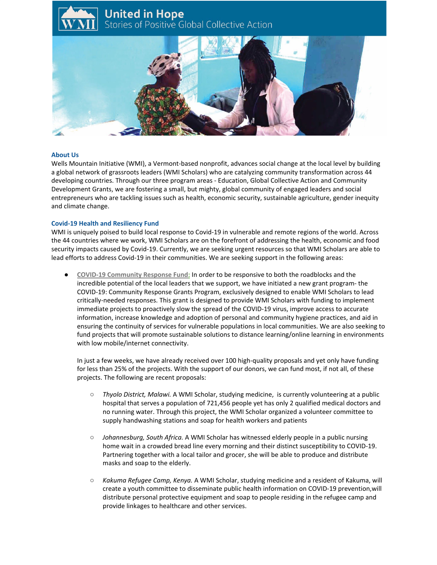# **United in Hope** Stories of Positive Global Collective Action



#### **About Us**

Wells Mountain Initiative (WMI), a Vermont-based nonprofit, advances social change at the local level by building a global network of grassroots leaders (WMI Scholars) who are catalyzing community transformation across 44 developing countries. Through our three program areas - Education, Global Collective Action and Community Development Grants, we are fostering a small, but mighty, global community of engaged leaders and social entrepreneurs who are tackling issues such as health, economic security, sustainable agriculture, gender inequity and climate change.

### **Covid-19 Health and Resiliency Fund**

WMI is uniquely poised to build local response to Covid-19 in vulnerable and remote regions of the world. Across the 44 countries where we work, WMI Scholars are on the forefront of addressing the health, economic and food security impacts caused by Covid-19. Currently, we are seeking urgent resources so that WMI Scholars are able to lead efforts to address Covid-19 in their communities. We are seeking support in the following areas:

● **COVID-19 Community Response Fund:** In order to be responsive to both the roadblocks and the incredible potential of the local leaders that we support, we have initiated a new grant program- the COVID-19: Community Response Grants Program, exclusively designed to enable WMI Scholars to lead critically-needed responses. This grant is designed to provide WMI Scholars with funding to implement immediate projects to proactively slow the spread of the COVID-19 virus, improve access to accurate information, increase knowledge and adoption of personal and community hygiene practices, and aid in ensuring the continuity of services for vulnerable populations in local communities. We are also seeking to fund projects that will promote sustainable solutions to distance learning/online learning in environments with low mobile/internet connectivity.

In just a few weeks, we have already received over 100 high-quality proposals and yet only have funding for less than 25% of the projects. With the support of our donors, we can fund most, if not all, of these projects. The following are recent proposals:

- *Thyolo District, Malawi.* A WMI Scholar, studying medicine, is currently volunteering at a public hospital that serves a population of 721,456 people yet has only 2 qualified medical doctors and no running water. Through this project, the WMI Scholar organized a volunteer committee to supply handwashing stations and soap for health workers and patients
- *Johannesburg, South Africa.* A WMI Scholar has witnessed elderly people in a public nursing home wait in a crowded bread line every morning and their distinct susceptibility to COVID-19. Partnering together with a local tailor and grocer, she will be able to produce and distribute masks and soap to the elderly.
- *Kakuma Refugee Camp, Kenya.* A WMI Scholar, studying medicine and a resident of Kakuma, will create a youth committee to disseminate public health information on COVID-19 prevention,will distribute personal protective equipment and soap to people residing in the refugee camp and provide linkages to healthcare and other services.